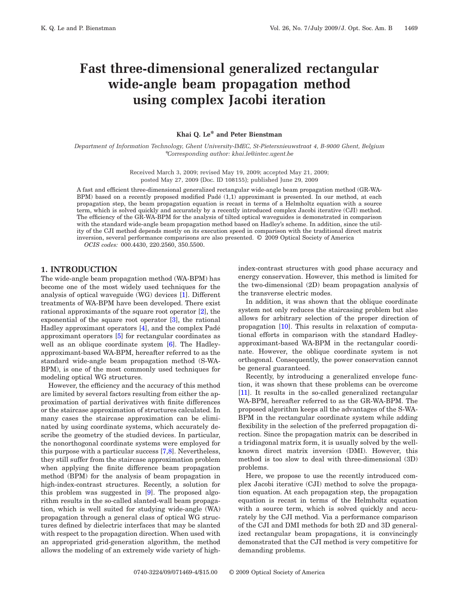# **Fast three-dimensional generalized rectangular wide-angle beam propagation method using complex Jacobi iteration**

## **Khai Q. Le\* and Peter Bienstman**

*Department of Information Technology, Ghent University-IMEC, St-Pietersnieuwstraat 4, B-9000 Ghent, Belgium* \**Corresponding author: khai.le@intec.ugent.be*

> Received March 3, 2009; revised May 19, 2009; accepted May 21, 2009; posted May 27, 2009 (Doc. ID 108155); published June 29, 2009

A fast and efficient three-dimensional generalized rectangular wide-angle beam propagation method (GR-WA-BPM) based on a recently proposed modified Padé (1,1) approximant is presented. In our method, at each propagation step, the beam propagation equation is recast in terms of a Helmholtz equation with a source term, which is solved quickly and accurately by a recently introduced complex Jacobi iterative (CJI) method. The efficiency of the GR-WA-BPM for the analysis of tilted optical waveguides is demonstrated in comparison with the standard wide-angle beam propagation method based on Hadley's scheme. In addition, since the utility of the CJI method depends mostly on its execution speed in comparison with the traditional direct matrix inversion, several performance comparisons are also presented. © 2009 Optical Society of America

*OCIS codes:* 000.4430, 220.2560, 350.5500.

## **1. INTRODUCTION**

The wide-angle beam propagation method (WA-BPM) has become one of the most widely used techniques for the analysis of optical waveguide (WG) devices [\[1\]](#page-3-0). Different treatments of WA-BPM have been developed. There exist rational approximants of the square root operator [\[2\]](#page-3-1), the exponential of the square root operator [\[3\]](#page-3-2), the rational Hadley approximant operators [\[4\]](#page-3-3), and the complex Padé approximant operators [\[5\]](#page-3-4) for rectangular coordinates as well as an oblique coordinate system [\[6\]](#page-3-5). The Hadleyapproximant-based WA-BPM, hereafter referred to as the standard wide-angle beam propagation method (S-WA-BPM), is one of the most commonly used techniques for modeling optical WG structures.

However, the efficiency and the accuracy of this method are limited by several factors resulting from either the approximation of partial derivatives with finite differences or the staircase approximation of structures calculated. In many cases the staircase approximation can be eliminated by using coordinate systems, which accurately describe the geometry of the studied devices. In particular, the nonorthogonal coordinate systems were employed for this purpose with a particular success [\[7](#page-3-6)[,8\]](#page-3-7). Nevertheless, they still suffer from the staircase approximation problem when applying the finite difference beam propagation method (BPM) for the analysis of beam propagation in high-index-contrast structures. Recently, a solution for this problem was suggested in [\[9\]](#page-3-8). The proposed algorithm results in the so-called slanted-wall beam propagation, which is well suited for studying wide-angle (WA) propagation through a general class of optical WG structures defined by dielectric interfaces that may be slanted with respect to the propagation direction. When used with an appropriated grid-generation algorithm, the method allows the modeling of an extremely wide variety of highindex-contrast structures with good phase accuracy and energy conservation. However, this method is limited for the two-dimensional (2D) beam propagation analysis of the transverse electric modes.

In addition, it was shown that the oblique coordinate system not only reduces the staircasing problem but also allows for arbitrary selection of the proper direction of propagation [\[10\]](#page-3-9). This results in relaxation of computational efforts in comparison with the standard Hadleyapproximant-based WA-BPM in the rectangular coordinate. However, the oblique coordinate system is not orthogonal. Consequently, the power conservation cannot be general guaranteed.

Recently, by introducing a generalized envelope function, it was shown that these problems can be overcome [\[11\]](#page-3-10). It results in the so-called generalized rectangular WA-BPM, hereafter referred to as the GR-WA-BPM. The proposed algorithm keeps all the advantages of the S-WA-BPM in the rectangular coordinate system while adding flexibility in the selection of the preferred propagation direction. Since the propagation matrix can be described in a tridiagonal matrix form, it is usually solved by the wellknown direct matrix inversion (DMI). However, this method is too slow to deal with three-dimensional (3D) problems.

Here, we propose to use the recently introduced complex Jacobi iterative (CJI) method to solve the propagation equation. At each propagation step, the propagation equation is recast in terms of the Helmholtz equation with a source term, which is solved quickly and accurately by the CJI method. Via a performance comparison of the CJI and DMI methods for both 2D and 3D generalized rectangular beam propagations, it is convincingly demonstrated that the CJI method is very competitive for demanding problems.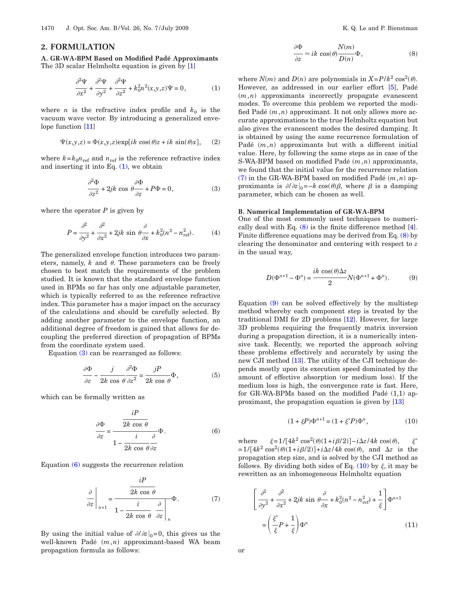#### **2. FORMULATION**

<span id="page-1-0"></span>**A. GR-WA-BPM Based on Modified Padé Approximants** The 3D scalar Helmholtz equation is given by [\[1\]](#page-3-0)

$$
\frac{\partial^2 \Psi}{\partial x^2} + \frac{\partial^2 \Psi}{\partial y^2} + \frac{\partial^2 \Psi}{\partial z^2} + k_0^2 n^2(x, y, z) \Psi = 0, \tag{1}
$$

where *n* is the refractive index profile and  $k_0$  is the vacuum wave vector. By introducing a generalized enve-lope function [\[11\]](#page-3-10)

$$
\Psi(x, y, z) = \Phi(x, y, z) \exp[i k \cos(\theta) z + i k \sin(\theta) x], \quad (2)
$$

<span id="page-1-1"></span>where  $k = k_0 n_{\text{ref}}$  and  $n_{\text{ref}}$  is the reference refractive index and inserting it into Eq.  $(1)$ , we obtain

$$
\frac{\partial^2 \Phi}{\partial z^2} + 2jk \cos \theta \frac{\partial \Phi}{\partial z} + P\Phi = 0, \tag{3}
$$

where the operator  $P$  is given by

$$
P = \frac{\partial^2}{\partial y^2} + \frac{\partial^2}{\partial x^2} + 2jk \sin \theta \frac{\partial}{\partial x} + k_0^2 (n^2 - n_{\text{ref}}^2). \tag{4}
$$

The generalized envelope function introduces two parameters, namely,  $k$  and  $\theta$ . These parameters can be freely chosen to best match the requirements of the problem studied. It is known that the standard envelope function used in BPMs so far has only one adjustable parameter, which is typically referred to as the reference refractive index. This parameter has a major impact on the accuracy of the calculations and should be carefully selected. By adding another parameter to the envelope function, an additional degree of freedom is gained that allows for decoupling the preferred direction of propagation of BPMs from the coordinate system used.

Equation [\(3\)](#page-1-1) can be rearranged as follows:

$$
\frac{\partial \Phi}{\partial z} - \frac{j}{2k \cos \theta} \frac{\partial^2 \Phi}{\partial z^2} = \frac{jP}{2k \cos \theta} \Phi,
$$
 (5)

<span id="page-1-2"></span>which can be formally written as

$$
\frac{\partial \Phi}{\partial z} = \frac{\frac{iP}{2k \cos \theta}}{1 - \frac{i}{2k \cos \theta} \frac{\partial}{\partial z}} \Phi.
$$
 (6)

<span id="page-1-3"></span>Equation [\(6\)](#page-1-2) suggests the recurrence relation

$$
\frac{\partial}{\partial z}\Big|_{n+1} = \frac{\frac{iP}{2k\cos\theta}}{1 - \frac{i}{2k\cos\theta}\frac{\partial}{\partial z}\Big|_{n}}\Phi.
$$
 (7)

By using the initial value of  $\partial/\partial z|_{0}=0$ , this gives us the well-known Padé  $(m, n)$  approximant-based WA beam propagation formula as follows:

$$
\frac{\partial \Phi}{\partial z} \approx ik \cos(\theta) \frac{N(m)}{D(n)} \Phi,
$$
\n(8)

*Nm*-

<span id="page-1-4"></span>where  $N(m)$  and  $D(n)$  are polynomials in  $X = P/k^2 \cos^2(\theta)$ . However, as addressed in our earlier effort [\[5\]](#page-3-4), Padé  $(m, n)$  approximants incorrectly propagate evanescent modes. To overcome this problem we reported the modified Padé  $(m, n)$  approximant. It not only allows more accurate approximations to the true Helmholtz equation but also gives the evanescent modes the desired damping. It is obtained by using the same recurrence formulation of Padé  $(m, n)$  approximants but with a different initial value. Here, by following the same steps as in case of the S-WA-BPM based on modified Padé  $(m, n)$  approximants, we found that the initial value for the recurrence relation  $(7)$  in the GR-WA-BPM based on modified Padé  $(m, n)$  approximants is  $\partial/\partial z|_0 = -k \cos(\theta) \beta$ , where  $\beta$  is a damping parameter, which can be chosen as well.

#### **B. Numerical Implementation of GR-WA-BPM**

One of the most commonly used techniques to numerically deal with Eq.  $(8)$  is the finite difference method  $[4]$ . Finite difference equations may be derived from Eq. [\(8\)](#page-1-4) by clearing the denominator and centering with respect to *z* in the usual way,

$$
D(\Phi^{n+1} - \Phi^n) = \frac{ik \cos(\theta) \Delta z}{2} N(\Phi^{n+1} + \Phi^n).
$$
 (9)

Equation [\(9\)](#page-1-4) can be solved effectively by the multistep method whereby each component step is treated by the traditional DMI for 2D problems [\[12\]](#page-3-11). However, for large 3D problems requiring the frequently matrix inversion during a propagation direction, it is a numerically intensive task. Recently, we reported the approach solving these problems effectively and accurately by using the new CJI method [\[13\]](#page-3-12). The utility of the CJI technique depends mostly upon its execution speed dominated by the amount of effective absorption (or medium loss). If the medium loss is high, the convergence rate is fast. Here, for GR-WA-BPMs based on the modified Padé (1,1) approximant, the propagation equation is given by [\[13\]](#page-3-12)

$$
(1 + \xi P)\Phi^{n+1} = (1 + \xi^* P)\Phi^n, \tag{10}
$$

<span id="page-1-5"></span>where  $\xi = 1/[4k^2 \cos^2(\theta)(1+i\beta/2)] - i\Delta z/4k \cos(\theta)$  $\mathcal{\widetilde{E}}^*$  $=1/[4k^2 \cos^2(\theta)(1+i\beta/2)]+i\Delta z/4k \cos(\theta)$ , and  $\Delta z$  is the propagation step size, and is solved by the CJI method as follows. By dividing both sides of Eq.  $(10)$  by  $\xi$ , it may be rewritten as an inhomogeneous Helmholtz equation

$$
\left[\frac{\partial^2}{\partial y^2} + \frac{\partial^2}{\partial x^2} + 2jk \sin \theta \frac{\partial}{\partial x} + k_0^2 (n^2 - n_{\text{ref}}^2) + \frac{1}{\xi} \right] \Phi^{n+1}
$$

$$
= \left(\frac{\xi^*}{\xi} P + \frac{1}{\xi} \right) \Phi^n
$$
(11)

or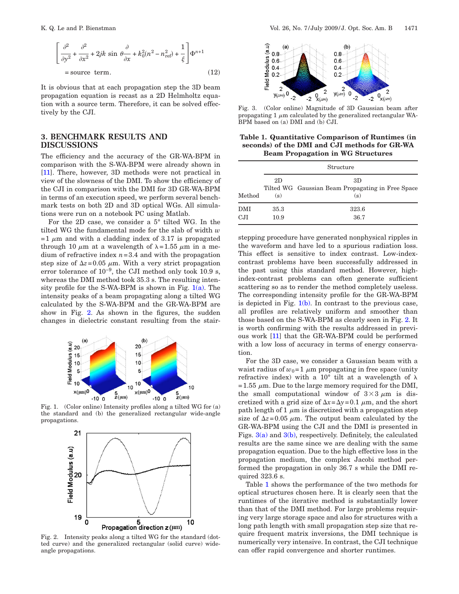$$
\left[\frac{\partial^2}{\partial y^2} + \frac{\partial^2}{\partial x^2} + 2jk \sin \theta \frac{\partial}{\partial x} + k_0^2 (n^2 - n_{\text{ref}}^2) + \frac{1}{\xi}\right] \Phi^{n+1}
$$
  
= source term. (12)

It is obvious that at each propagation step the 3D beam propagation equation is recast as a 2D Helmholtz equation with a source term. Therefore, it can be solved effectively by the CJI.

## **3. BENCHMARK RESULTS AND DISCUSSIONS**

The efficiency and the accuracy of the GR-WA-BPM in comparison with the S-WA-BPM were already shown in [\[11\]](#page-3-10). There, however, 3D methods were not practical in view of the slowness of the DMI. To show the efficiency of the CJI in comparison with the DMI for 3D GR-WA-BPM in terms of an execution speed, we perform several benchmark tests on both 2D and 3D optical WGs. All simulations were run on a notebook PC using Matlab.

For the 2D case, we consider a 5° tilted WG. In the tilted WG the fundamental mode for the slab of width *w*  $=1 \mu m$  and with a cladding index of 3.17 is propagated through 10  $\mu$ m at a wavelength of  $\lambda = 1.55 \mu$ m in a medium of refractive index *n*=3.4 and with the propagation step size of  $\Delta z = 0.05 \mu \text{m}$ . With a very strict propagation error tolerance of 10−9, the CJI method only took 10.9 s, whereas the DMI method took 35.3 s. The resulting intensity profile for the S-WA-BPM is shown in Fig.  $1(a)$ . The intensity peaks of a beam propagating along a tilted WG calculated by the S-WA-BPM and the GR-WA-BPM are show in Fig. [2.](#page-2-1) As shown in the figures, the sudden changes in dielectric constant resulting from the stair-

<span id="page-2-0"></span>

<span id="page-2-1"></span>Fig. 1. (Color online) Intensity profiles along a tilted WG for (a) the standard and (b) the generalized rectangular wide-angle propagations.



Fig. 2. Intensity peaks along a tilted WG for the standard (dotted curve) and the generalized rectangular (solid curve) wideangle propagations.

<span id="page-2-2"></span>

Fig. 3. (Color online) Magnitude of 3D Gaussian beam after propagating 1  $\mu$ m calculated by the generalized rectangular WA-BPM based on (a) DMI and (b) CJI.

<span id="page-2-3"></span>**Table 1. Quantitative Comparison of Runtimes (in seconds) of the DMI and CJI methods for GR-WA Beam Propagation in WG Structures**

|                            | Structure    |                                                                |
|----------------------------|--------------|----------------------------------------------------------------|
| Method                     | 2D<br>(s)    | 3D<br>Tilted WG Gaussian Beam Propagating in Free Space<br>(s) |
| <b>DMI</b><br>$_{\rm CJI}$ | 35.3<br>10.9 | 323.6<br>36.7                                                  |

stepping procedure have generated nonphysical ripples in the waveform and have led to a spurious radiation loss. This effect is sensitive to index contrast. Low-indexcontrast problems have been successfully addressed in the past using this standard method. However, highindex-contrast problems can often generate sufficient scattering so as to render the method completely useless. The corresponding intensity profile for the GR-WA-BPM is depicted in Fig.  $1(b)$ . In contrast to the previous case, all profiles are relatively uniform and smoother than those based on the S-WA-BPM as clearly seen in Fig. [2.](#page-2-1) It is worth confirming with the results addressed in previous work [\[11\]](#page-3-10) that the GR-WA-BPM could be performed with a low loss of accuracy in terms of energy conservation.

For the 3D case, we consider a Gaussian beam with a waist radius of  $w_0=1$   $\mu$ m propagating in free space (unity refractive index) with a 10 $^{\circ}$  tilt at a wavelength of  $\lambda$ =1.55  $\mu$ m. Due to the large memory required for the DMI, the small computational window of  $3\times3 \mu m$  is discretized with a grid size of  $\Delta x = \Delta y = 0.1 \mu$ m, and the short path length of 1  $\mu$ m is discretized with a propagation step size of  $\Delta z = 0.05 \mu \text{m}$ . The output beam calculated by the GR-WA-BPM using the CJI and the DMI is presented in Figs.  $3(a)$  and  $3(b)$ , respectively. Definitely, the calculated results are the same since we are dealing with the same propagation equation. Due to the high effective loss in the propagation medium, the complex Jacobi method performed the propagation in only 36.7 s while the DMI required 323.6 s.

Table [1](#page-2-3) shows the performance of the two methods for optical structures chosen here. It is clearly seen that the runtimes of the iterative method is substantially lower than that of the DMI method. For large problems requiring very large storage space and also for structures with a long path length with small propagation step size that require frequent matrix inversions, the DMI technique is numerically very intensive. In contrast, the CJI technique can offer rapid convergence and shorter runtimes.